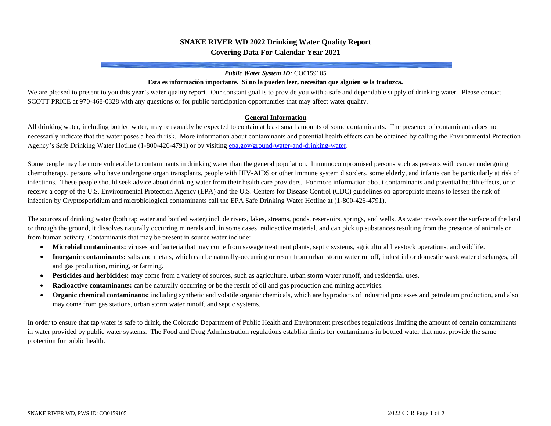# **SNAKE RIVER WD 2022 Drinking Water Quality Report Covering Data For Calendar Year 2021**

#### *Public Water System ID:* CO0159105

#### **Esta es información importante. Si no la pueden leer, necesitan que alguien se la traduzca.**

We are pleased to present to you this year's water quality report. Our constant goal is to provide you with a safe and dependable supply of drinking water. Please contact SCOTT PRICE at 970-468-0328 with any questions or for public participation opportunities that may affect water quality.

#### **General Information**

All drinking water, including bottled water, may reasonably be expected to contain at least small amounts of some contaminants. The presence of contaminants does not necessarily indicate that the water poses a health risk. More information about contaminants and potential health effects can be obtained by calling the Environmental Protection Agency's Safe Drinking Water Hotline (1-800-426-4791) or by visitin[g epa.gov/ground-water-and-drinking-water.](https://www.epa.gov/ground-water-and-drinking-water)

Some people may be more vulnerable to contaminants in drinking water than the general population. Immunocompromised persons such as persons with cancer undergoing chemotherapy, persons who have undergone organ transplants, people with HIV-AIDS or other immune system disorders, some elderly, and infants can be particularly at risk of infections. These people should seek advice about drinking water from their health care providers. For more information about contaminants and potential health effects, or to receive a copy of the U.S. Environmental Protection Agency (EPA) and the U.S. Centers for Disease Control (CDC) guidelines on appropriate means to lessen the risk of infection by Cryptosporidium and microbiological contaminants call the EPA Safe Drinking Water Hotline at (1-800-426-4791).

The sources of drinking water (both tap water and bottled water) include rivers, lakes, streams, ponds, reservoirs, springs, and wells. As water travels over the surface of the land or through the ground, it dissolves naturally occurring minerals and, in some cases, radioactive material, and can pick up substances resulting from the presence of animals or from human activity. Contaminants that may be present in source water include:

- **Microbial contaminants:** viruses and bacteria that may come from sewage treatment plants, septic systems, agricultural livestock operations, and wildlife.
- **Inorganic contaminants:** salts and metals, which can be naturally-occurring or result from urban storm water runoff, industrial or domestic wastewater discharges, oil and gas production, mining, or farming.
- **Pesticides and herbicides:** may come from a variety of sources, such as agriculture, urban storm water runoff, and residential uses.
- **Radioactive contaminants:** can be naturally occurring or be the result of oil and gas production and mining activities.
- **Organic chemical contaminants:** including synthetic and volatile organic chemicals, which are byproducts of industrial processes and petroleum production, and also may come from gas stations, urban storm water runoff, and septic systems.

In order to ensure that tap water is safe to drink, the Colorado Department of Public Health and Environment prescribes regulations limiting the amount of certain contaminants in water provided by public water systems. The Food and Drug Administration regulations establish limits for contaminants in bottled water that must provide the same protection for public health.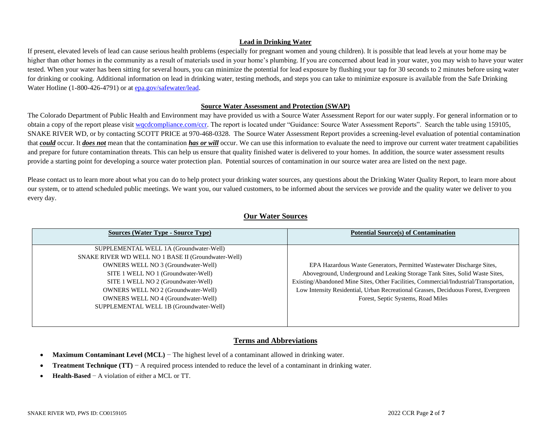### **Lead in Drinking Water**

If present, elevated levels of lead can cause serious health problems (especially for pregnant women and young children). It is possible that lead levels at your home may be higher than other homes in the community as a result of materials used in your home's plumbing. If you are concerned about lead in your water, you may wish to have your water tested. When your water has been sitting for several hours, you can minimize the potential for lead exposure by flushing your tap for 30 seconds to 2 minutes before using water for drinking or cooking. Additional information on lead in drinking water, testing methods, and steps you can take to minimize exposure is available from the Safe Drinking Water Hotline (1-800-426-4791) or a[t epa.gov/safewater/lead.](http://www.epa.gov/safewater/lead)

#### **Source Water Assessment and Protection (SWAP)**

The Colorado Department of Public Health and Environment may have provided us with a Source Water Assessment Report for our water supply. For general information or to obtain a copy of the report please visit wordcompliance.com/ccr. The report is located under "Guidance: Source Water Assessment Reports". Search the table using 159105, SNAKE RIVER WD, or by contacting SCOTT PRICE at 970-468-0328. The Source Water Assessment Report provides a screening-level evaluation of potential contamination that **could** occur. It **does not** mean that the contamination **has or will** occur. We can use this information to evaluate the need to improve our current water treatment capabilities and prepare for future contamination threats. This can help us ensure that quality finished water is delivered to your homes. In addition, the source water assessment results provide a starting point for developing a source water protection plan. Potential sources of contamination in our source water area are listed on the next page.

Please contact us to learn more about what you can do to help protect your drinking water sources, any questions about the Drinking Water Quality Report, to learn more about our system, or to attend scheduled public meetings. We want you, our valued customers, to be informed about the services we provide and the quality water we deliver to you every day.

| <b>Sources (Water Type - Source Type)</b>           | <b>Potential Source(s) of Contamination</b>                                            |
|-----------------------------------------------------|----------------------------------------------------------------------------------------|
|                                                     |                                                                                        |
| SUPPLEMENTAL WELL 1A (Groundwater-Well)             |                                                                                        |
| SNAKE RIVER WD WELL NO 1 BASE II (Groundwater-Well) |                                                                                        |
| <b>OWNERS WELL NO 3 (Groundwater-Well)</b>          | EPA Hazardous Waste Generators, Permitted Wastewater Discharge Sites,                  |
| SITE 1 WELL NO 1 (Groundwater-Well)                 | Aboveground, Underground and Leaking Storage Tank Sites, Solid Waste Sites,            |
| SITE 1 WELL NO 2 (Groundwater-Well)                 | Existing/Abandoned Mine Sites, Other Facilities, Commercial/Industrial/Transportation, |
| <b>OWNERS WELL NO 2 (Groundwater-Well)</b>          | Low Intensity Residential, Urban Recreational Grasses, Deciduous Forest, Evergreen     |
| <b>OWNERS WELL NO 4 (Groundwater-Well)</b>          | Forest, Septic Systems, Road Miles                                                     |
| SUPPLEMENTAL WELL 1B (Groundwater-Well)             |                                                                                        |
|                                                     |                                                                                        |
|                                                     |                                                                                        |

# **Our Water Sources**

## **Terms and Abbreviations**

- **Maximum Contaminant Level (MCL)** − The highest level of a contaminant allowed in drinking water.
- **Treatment Technique (TT)** − A required process intended to reduce the level of a contaminant in drinking water.
- **Health-Based** − A violation of either a MCL or TT.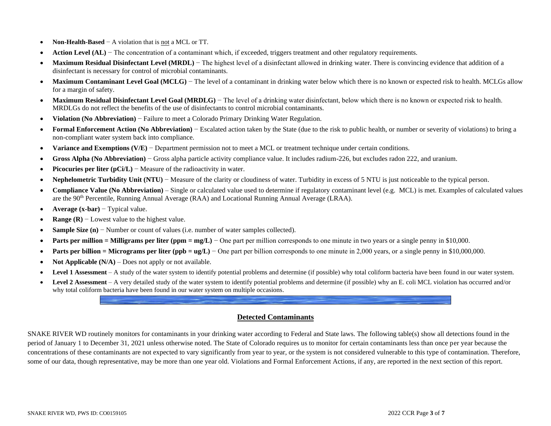- **Non-Health-Based** − A violation that is not a MCL or TT.
- **Action Level (AL)** − The concentration of a contaminant which, if exceeded, triggers treatment and other regulatory requirements.
- Maximum Residual Disinfectant Level (MRDL) The highest level of a disinfectant allowed in drinking water. There is convincing evidence that addition of a disinfectant is necessary for control of microbial contaminants.
- Maximum Contaminant Level Goal (MCLG) The level of a contaminant in drinking water below which there is no known or expected risk to health. MCLGs allow for a margin of safety.
- Maximum Residual Disinfectant Level Goal (MRDLG) The level of a drinking water disinfectant, below which there is no known or expected risk to health. MRDLGs do not reflect the benefits of the use of disinfectants to control microbial contaminants.
- **Violation (No Abbreviation)** − Failure to meet a Colorado Primary Drinking Water Regulation.
- **Formal Enforcement Action (No Abbreviation)** − Escalated action taken by the State (due to the risk to public health, or number or severity of violations) to bring a non-compliant water system back into compliance.
- **Variance and Exemptions (V/E)** − Department permission not to meet a MCL or treatment technique under certain conditions.
- **Gross Alpha (No Abbreviation)** − Gross alpha particle activity compliance value. It includes radium-226, but excludes radon 222, and uranium.
- **Picocuries per liter (pCi/L)** − Measure of the radioactivity in water.
- **Nephelometric Turbidity Unit (NTU)** − Measure of the clarity or cloudiness of water. Turbidity in excess of 5 NTU is just noticeable to the typical person.
- **Compliance Value (No Abbreviation)** Single or calculated value used to determine if regulatory contaminant level (e.g. MCL) is met. Examples of calculated values are the 90<sup>th</sup> Percentile, Running Annual Average (RAA) and Locational Running Annual Average (LRAA).
- **Average (x-bar)** − Typical value.
- **Range (R)** − Lowest value to the highest value.
- **Sample Size (n)** − Number or count of values (i.e. number of water samples collected).
- **Parts per million = Milligrams per liter (ppm = mg/L)** One part per million corresponds to one minute in two years or a single penny in \$10,000.
- **Parts per billion = Micrograms per liter (ppb = ug/L)** One part per billion corresponds to one minute in 2,000 years, or a single penny in \$10,000,000.
- **Not Applicable (N/A)** Does not apply or not available.
- **Level 1 Assessment** A study of the water system to identify potential problems and determine (if possible) why total coliform bacteria have been found in our water system.
- Level 2 Assessment A very detailed study of the water system to identify potential problems and determine (if possible) why an E. coli MCL violation has occurred and/or why total coliform bacteria have been found in our water system on multiple occasions.

## **Detected Contaminants**

SNAKE RIVER WD routinely monitors for contaminants in your drinking water according to Federal and State laws. The following table(s) show all detections found in the period of January 1 to December 31, 2021 unless otherwise noted. The State of Colorado requires us to monitor for certain contaminants less than once per year because the concentrations of these contaminants are not expected to vary significantly from year to year, or the system is not considered vulnerable to this type of contamination. Therefore, some of our data, though representative, may be more than one year old. Violations and Formal Enforcement Actions, if any, are reported in the next section of this report.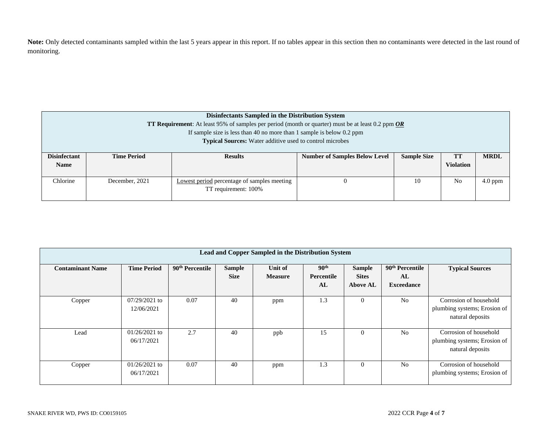**Note:** Only detected contaminants sampled within the last 5 years appear in this report. If no tables appear in this section then no contaminants were detected in the last round of monitoring.

|                                    | Disinfectants Sampled in the Distribution System<br><b>TT Requirement:</b> At least 95% of samples per period (month or quarter) must be at least 0.2 ppm <i>OR</i><br>If sample size is less than 40 no more than 1 sample is below $0.2$ ppm<br><b>Typical Sources:</b> Water additive used to control microbes |                                                                     |                                      |                    |                        |             |  |  |  |  |
|------------------------------------|-------------------------------------------------------------------------------------------------------------------------------------------------------------------------------------------------------------------------------------------------------------------------------------------------------------------|---------------------------------------------------------------------|--------------------------------------|--------------------|------------------------|-------------|--|--|--|--|
| <b>Disinfectant</b><br><b>Name</b> | <b>Time Period</b>                                                                                                                                                                                                                                                                                                | <b>Results</b>                                                      | <b>Number of Samples Below Level</b> | <b>Sample Size</b> | TT<br><b>Violation</b> | <b>MRDL</b> |  |  |  |  |
| Chlorine                           | December, 2021                                                                                                                                                                                                                                                                                                    | Lowest period percentage of samples meeting<br>TT requirement: 100% |                                      | 10                 | No                     | $4.0$ ppm   |  |  |  |  |

|                         | Lead and Copper Sampled in the Distribution System |                             |                              |                           |                                      |                                                  |                                                        |                                                                            |  |  |  |  |  |  |
|-------------------------|----------------------------------------------------|-----------------------------|------------------------------|---------------------------|--------------------------------------|--------------------------------------------------|--------------------------------------------------------|----------------------------------------------------------------------------|--|--|--|--|--|--|
| <b>Contaminant Name</b> | <b>Time Period</b>                                 | 90 <sup>th</sup> Percentile | <b>Sample</b><br><b>Size</b> | Unit of<br><b>Measure</b> | 90 <sup>th</sup><br>Percentile<br>AL | <b>Sample</b><br><b>Sites</b><br><b>Above AL</b> | 90 <sup>th</sup> Percentile<br>AL<br><b>Exceedance</b> | <b>Typical Sources</b>                                                     |  |  |  |  |  |  |
| Copper                  | $07/29/2021$ to<br>12/06/2021                      | 0.07                        | 40                           | ppm                       | 1.3                                  | $\Omega$                                         | N <sub>0</sub>                                         | Corrosion of household<br>plumbing systems; Erosion of<br>natural deposits |  |  |  |  |  |  |
| Lead                    | $01/26/2021$ to<br>06/17/2021                      | 2.7                         | 40                           | ppb                       | 15                                   | $\Omega$                                         | N <sub>0</sub>                                         | Corrosion of household<br>plumbing systems; Erosion of<br>natural deposits |  |  |  |  |  |  |
| Copper                  | $01/26/2021$ to<br>06/17/2021                      | 0.07                        | 40                           | ppm                       | 1.3                                  | $\Omega$                                         | N <sub>0</sub>                                         | Corrosion of household<br>plumbing systems; Erosion of                     |  |  |  |  |  |  |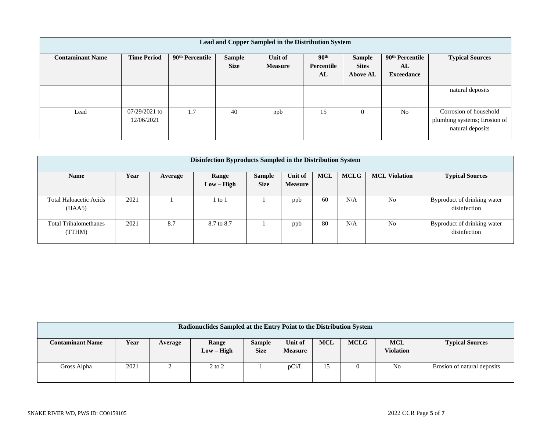| Lead and Copper Sampled in the Distribution System |                               |                             |                       |                           |                                      |                                                  |                                                        |                                                                            |  |  |  |  |  |
|----------------------------------------------------|-------------------------------|-----------------------------|-----------------------|---------------------------|--------------------------------------|--------------------------------------------------|--------------------------------------------------------|----------------------------------------------------------------------------|--|--|--|--|--|
| <b>Contaminant Name</b>                            | <b>Time Period</b>            | 90 <sup>th</sup> Percentile | Sample<br><b>Size</b> | Unit of<br><b>Measure</b> | 90 <sup>th</sup><br>Percentile<br>AL | <b>Sample</b><br><b>Sites</b><br><b>Above AL</b> | 90 <sup>th</sup> Percentile<br>AL<br><b>Exceedance</b> | <b>Typical Sources</b>                                                     |  |  |  |  |  |
|                                                    |                               |                             |                       |                           |                                      |                                                  |                                                        | natural deposits                                                           |  |  |  |  |  |
| Lead                                               | $07/29/2021$ to<br>12/06/2021 | 1.7                         | 40                    | ppb                       | 15                                   | $\mathbf{0}$                                     | N <sub>0</sub>                                         | Corrosion of household<br>plumbing systems; Erosion of<br>natural deposits |  |  |  |  |  |

| Disinfection Byproducts Sampled in the Distribution System |      |         |              |               |                |            |             |                      |                             |  |  |  |
|------------------------------------------------------------|------|---------|--------------|---------------|----------------|------------|-------------|----------------------|-----------------------------|--|--|--|
| <b>Name</b>                                                | Year | Average | Range        | <b>Sample</b> | Unit of        | <b>MCL</b> | <b>MCLG</b> | <b>MCL Violation</b> | <b>Typical Sources</b>      |  |  |  |
|                                                            |      |         | $Low - High$ | <b>Size</b>   | <b>Measure</b> |            |             |                      |                             |  |  |  |
|                                                            |      |         |              |               |                |            |             |                      |                             |  |  |  |
| <b>Total Haloacetic Acids</b>                              | 2021 |         | 1 to 1       |               | ppb            | -60        | N/A         | No                   | Byproduct of drinking water |  |  |  |
| (HAA5)                                                     |      |         |              |               |                |            |             |                      | disinfection                |  |  |  |
|                                                            |      |         |              |               |                |            |             |                      |                             |  |  |  |
| <b>Total Trihalomethanes</b>                               | 2021 | 8.7     | 8.7 to 8.7   |               | ppb            | 80         | N/A         | No                   | Byproduct of drinking water |  |  |  |
| (TTHM)                                                     |      |         |              |               |                |            |             |                      | disinfection                |  |  |  |
|                                                            |      |         |              |               |                |            |             |                      |                             |  |  |  |

| Radionuclides Sampled at the Entry Point to the Distribution System |      |         |                       |                       |                           |            |             |                                |                             |  |  |  |
|---------------------------------------------------------------------|------|---------|-----------------------|-----------------------|---------------------------|------------|-------------|--------------------------------|-----------------------------|--|--|--|
| <b>Contaminant Name</b>                                             | Year | Average | Range<br>$Low - High$ | Sample<br><b>Size</b> | Unit of<br><b>Measure</b> | <b>MCL</b> | <b>MCLG</b> | <b>MCL</b><br><b>Violation</b> | <b>Typical Sources</b>      |  |  |  |
| Gross Alpha                                                         | 2021 |         | $2$ to $2$            |                       | pCi/L                     | 15         | 0           | No                             | Erosion of natural deposits |  |  |  |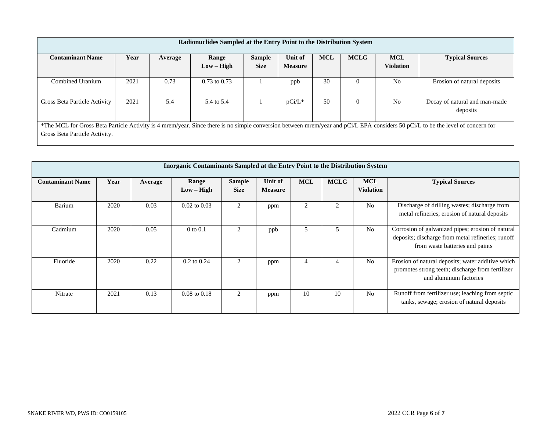| Radionuclides Sampled at the Entry Point to the Distribution System |      |         |                  |               |                |            |             |                  |                                                                                                                                                                                 |  |  |  |
|---------------------------------------------------------------------|------|---------|------------------|---------------|----------------|------------|-------------|------------------|---------------------------------------------------------------------------------------------------------------------------------------------------------------------------------|--|--|--|
| <b>Contaminant Name</b>                                             | Year | Average | Range            | <b>Sample</b> | Unit of        | <b>MCL</b> | <b>MCLG</b> | <b>MCL</b>       | <b>Typical Sources</b>                                                                                                                                                          |  |  |  |
|                                                                     |      |         | $Low - High$     | <b>Size</b>   | <b>Measure</b> |            |             | <b>Violation</b> |                                                                                                                                                                                 |  |  |  |
| Combined Uranium                                                    | 2021 | 0.73    | $0.73$ to $0.73$ |               | ppb            | 30         | $\Omega$    | N <sub>0</sub>   | Erosion of natural deposits                                                                                                                                                     |  |  |  |
| Gross Beta Particle Activity                                        | 2021 | 5.4     | 5.4 to 5.4       |               | $pCi/L^*$      | 50         | $\theta$    | N <sub>0</sub>   | Decay of natural and man-made<br>deposits                                                                                                                                       |  |  |  |
| Gross Beta Particle Activity.                                       |      |         |                  |               |                |            |             |                  | *The MCL for Gross Beta Particle Activity is 4 mrem/year. Since there is no simple conversion between mrem/year and pCi/L EPA considers 50 pCi/L to be the level of concern for |  |  |  |

|                         | <b>Inorganic Contaminants Sampled at the Entry Point to the Distribution System</b> |         |                         |                              |                           |                |             |                                |                                                                                                                                           |  |  |  |  |  |
|-------------------------|-------------------------------------------------------------------------------------|---------|-------------------------|------------------------------|---------------------------|----------------|-------------|--------------------------------|-------------------------------------------------------------------------------------------------------------------------------------------|--|--|--|--|--|
| <b>Contaminant Name</b> | Year                                                                                | Average | Range<br>$Low - High$   | <b>Sample</b><br><b>Size</b> | Unit of<br><b>Measure</b> | <b>MCL</b>     | <b>MCLG</b> | <b>MCL</b><br><b>Violation</b> | <b>Typical Sources</b>                                                                                                                    |  |  |  |  |  |
| Barium                  | 2020                                                                                | 0.03    | $0.02$ to $0.03$        | $\overline{2}$               | ppm                       | $\overline{c}$ |             | N <sub>o</sub>                 | Discharge of drilling wastes; discharge from<br>metal refineries; erosion of natural deposits                                             |  |  |  |  |  |
| Cadmium                 | 2020                                                                                | 0.05    | $0$ to $0.1$            | 2                            | ppb                       | C              |             | N <sub>o</sub>                 | Corrosion of galvanized pipes; erosion of natural<br>deposits; discharge from metal refineries; runoff<br>from waste batteries and paints |  |  |  |  |  |
| Fluoride                | 2020                                                                                | 0.22    | $0.2$ to $0.24$         | 2                            | ppm                       | 4              |             | N <sub>o</sub>                 | Erosion of natural deposits; water additive which<br>promotes strong teeth; discharge from fertilizer<br>and aluminum factories           |  |  |  |  |  |
| Nitrate                 | 2021                                                                                | 0.13    | $0.08 \text{ to } 0.18$ | 2                            | ppm                       | 10             | 10          | N <sub>o</sub>                 | Runoff from fertilizer use; leaching from septic<br>tanks, sewage; erosion of natural deposits                                            |  |  |  |  |  |